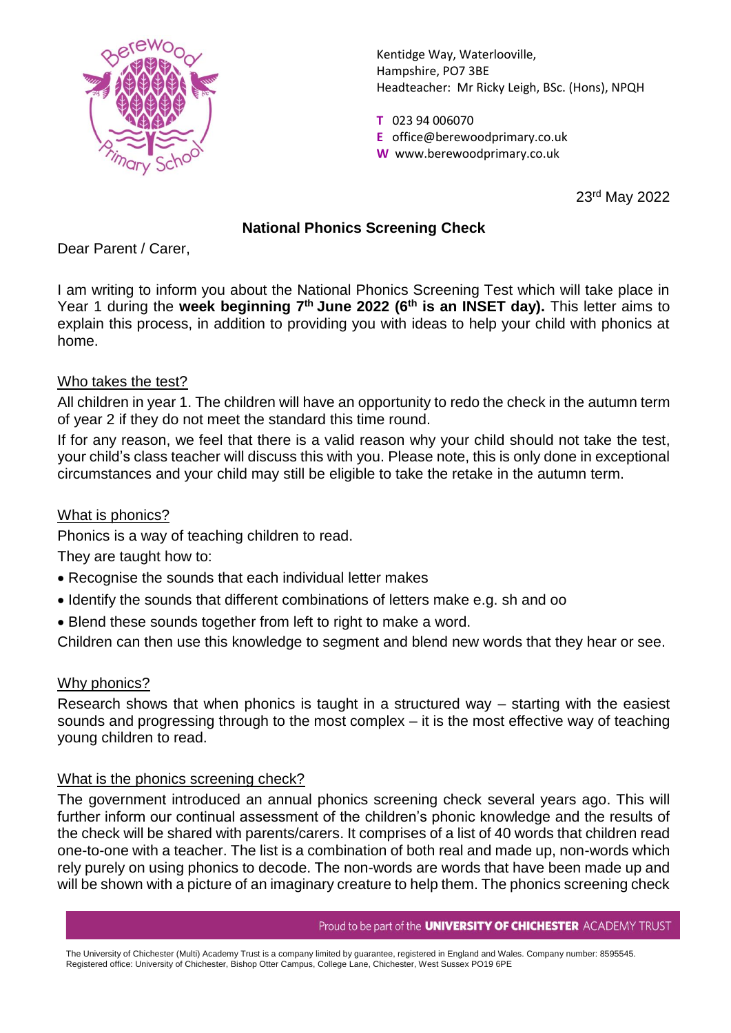

Kentidge Way, Waterlooville, Hampshire, PO7 3BE Headteacher: Mr Ricky Leigh, BSc. (Hons), NPQH

**T** 023 94 006070

**E** office@berewoodprimary.co.uk

**W** www.berewoodprimary.co.uk

23rd May 2022

# **National Phonics Screening Check**

Dear Parent / Carer,

I am writing to inform you about the National Phonics Screening Test which will take place in Year 1 during the week beginning 7<sup>th</sup> June 2022 (6<sup>th</sup> is an INSET day). This letter aims to explain this process, in addition to providing you with ideas to help your child with phonics at home.

## Who takes the test?

All children in year 1. The children will have an opportunity to redo the check in the autumn term of year 2 if they do not meet the standard this time round.

If for any reason, we feel that there is a valid reason why your child should not take the test, your child's class teacher will discuss this with you. Please note, this is only done in exceptional circumstances and your child may still be eligible to take the retake in the autumn term.

## What is phonics?

Phonics is a way of teaching children to read.

They are taught how to:

- Recognise the sounds that each individual letter makes
- Identify the sounds that different combinations of letters make e.g. sh and oo
- Blend these sounds together from left to right to make a word.

Children can then use this knowledge to segment and blend new words that they hear or see.

### Why phonics?

Research shows that when phonics is taught in a structured way – starting with the easiest sounds and progressing through to the most complex – it is the most effective way of teaching young children to read.

### What is the phonics screening check?

The government introduced an annual phonics screening check several years ago. This will further inform our continual assessment of the children's phonic knowledge and the results of the check will be shared with parents/carers. It comprises of a list of 40 words that children read one-to-one with a teacher. The list is a combination of both real and made up, non-words which rely purely on using phonics to decode. The non-words are words that have been made up and will be shown with a picture of an imaginary creature to help them. The phonics screening check

Proud to be part of the **UNIVERSITY OF CHICHESTER** ACADEMY TRUST

The University of Chichester (Multi) Academy Trust is a company limited by guarantee, registered in England and Wales. Company number: 8595545. Registered office: University of Chichester, Bishop Otter Campus, College Lane, Chichester, West Sussex PO19 6PE